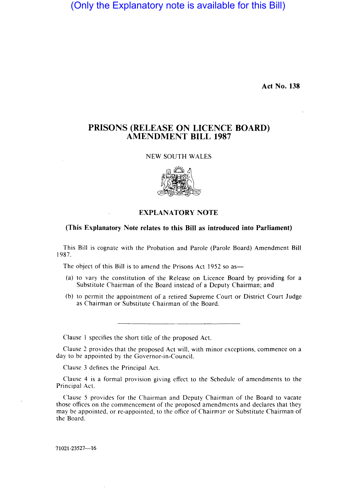(Only the Explanatory note is available for this Bill)

Act No. 138

## PRISONS (RELEASE ON LICENCE BOARD) AMENDMENT **BILL** 1987

## NEW SOUTH WALES



## (This Explanatory Note relates to this Bill as introduced into Parliament)

This Bill is cognate with the Probation and Parole (Parole Board) Amendment Bill 1987.

The object of this Bill is to amend the Prisons Act 1952 so as-

- (a) to vary the constitution of the Release on Licence Board by providing for a Substitute Chairman of the Board instead of a Deputy Chairman; and
- (b) to permit the appointment of a retired Supreme Court or District Court Judge as Chairman or Substitute Chairman of the Board.

Clause I specifies the short title of the proposed Act.

Clause 2 provides that the proposed Act will, with minor exceptions, commence on a day to be appointed by the Governor-in-Council.

Clause 3 defines the Principal Act.

Clause 4 is a formal provision giving effect to the Schedule of amendments to the Principal Act.

Clause 5 provides for the Chairman and Deputy Chairman of the Board to vacate those offices on the commencement of the proposed amendments and declares that they may be appointed, or re-appointed, to the office of Chairman or Substitute Chairman of the Board.

71021-23527-16